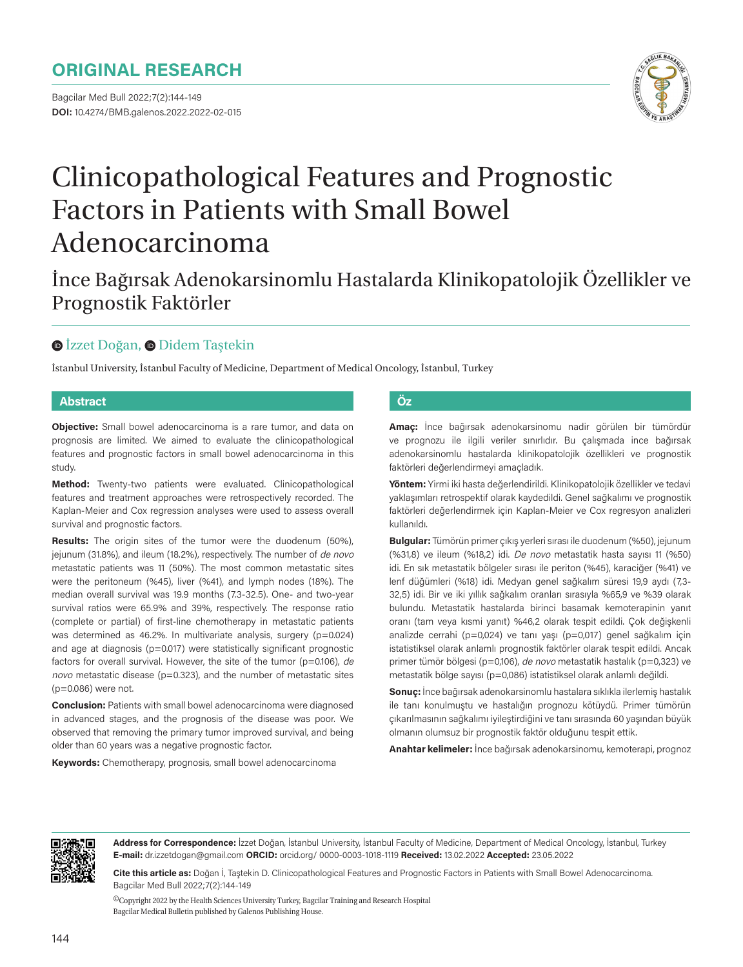# **ORIGINAL RESEARCH**

Bagcilar Med Bull 2022;7(2):144-149 **DOI:** 10.4274/BMB.galenos.2022.2022-02-015



# Clinicopathological Features and Prognostic Factors in Patients with Small Bowel Adenocarcinoma

### $\bullet$  **[İ](https://orcid.org/0000-0003-1018-1119)zzetDoğan,**  $\bullet$  **Didem Tastekin**

İstanbul University, İstanbul Faculty of Medicine, Department of Medical Oncology, İstanbul, Turkey

#### **Abstract Öz**

**Objective:** Small bowel adenocarcinoma is a rare tumor, and data on prognosis are limited. We aimed to evaluate the clinicopathological features and prognostic factors in small bowel adenocarcinoma in this study.

**Method:** Twenty-two patients were evaluated. Clinicopathological features and treatment approaches were retrospectively recorded. The Kaplan-Meier and Cox regression analyses were used to assess overall survival and prognostic factors.

**Results:** The origin sites of the tumor were the duodenum (50%), jejunum (31.8%), and ileum (18.2%), respectively. The number of de novo metastatic patients was 11 (50%). The most common metastatic sites were the peritoneum (%45), liver (%41), and lymph nodes (18%). The median overall survival was 19.9 months (7.3-32.5). One- and two-year survival ratios were 65.9% and 39%, respectively. The response ratio (complete or partial) of first-line chemotherapy in metastatic patients was determined as 46.2%. In multivariate analysis, surgery (p=0.024) and age at diagnosis (p=0.017) were statistically significant prognostic factors for overall survival. However, the site of the tumor ( $p=0.106$ ), de novo metastatic disease ( $p=0.323$ ), and the number of metastatic sites (p=0.086) were not.

**Conclusion:** Patients with small bowel adenocarcinoma were diagnosed in advanced stages, and the prognosis of the disease was poor. We observed that removing the primary tumor improved survival, and being older than 60 years was a negative prognostic factor.

**Keywords:** Chemotherapy, prognosis, small bowel adenocarcinoma

**Amaç:** İnce bağırsak adenokarsinomu nadir görülen bir tümördür ve prognozu ile ilgili veriler sınırlıdır. Bu çalışmada ince bağırsak adenokarsinomlu hastalarda klinikopatolojik özellikleri ve prognostik faktörleri değerlendirmeyi amaçladık.

**Yöntem:** Yirmi iki hasta değerlendirildi. Klinikopatolojik özellikler ve tedavi yaklaşımları retrospektif olarak kaydedildi. Genel sağkalımı ve prognostik faktörleri değerlendirmek için Kaplan-Meier ve Cox regresyon analizleri kullanıldı.

**Bulgular:** Tümörün primer çıkış yerleri sırası ile duodenum (%50), jejunum (%31,8) ve ileum (%18,2) idi. De novo metastatik hasta sayısı 11 (%50) idi. En sık metastatik bölgeler sırası ile periton (%45), karaciğer (%41) ve lenf düğümleri (%18) idi. Medyan genel sağkalım süresi 19,9 aydı (7,3- 32,5) idi. Bir ve iki yıllık sağkalım oranları sırasıyla %65,9 ve %39 olarak bulundu. Metastatik hastalarda birinci basamak kemoterapinin yanıt oranı (tam veya kısmi yanıt) %46,2 olarak tespit edildi. Çok değişkenli analizde cerrahi (p=0,024) ve tanı yaşı (p=0,017) genel sağkalım için istatistiksel olarak anlamlı prognostik faktörler olarak tespit edildi. Ancak primer tümör bölgesi (p=0,106), de novo metastatik hastalık (p=0,323) ve metastatik bölge sayısı (p=0,086) istatistiksel olarak anlamlı değildi.

**Sonuç:** İnce bağırsak adenokarsinomlu hastalara sıklıkla ilerlemiş hastalık ile tanı konulmuştu ve hastalığın prognozu kötüydü. Primer tümörün çıkarılmasının sağkalımı iyileştirdiğini ve tanı sırasında 60 yaşından büyük olmanın olumsuz bir prognostik faktör olduğunu tespit ettik.

**Anahtar kelimeler:** İnce bağırsak adenokarsinomu, kemoterapi, prognoz



**Address for Correspondence:** İzzet Doğan, İstanbul University, İstanbul Faculty of Medicine, Department of Medical Oncology, İstanbul, Turkey **E-mail:** dr.izzetdogan@gmail.com **ORCID:** orcid.org/ 0000-0003-1018-1119 **Received:** 13.02.2022 **Accepted:** 23.05.2022

**Cite this article as:** Doğan İ, Taştekin D. Clinicopathological Features and Prognostic Factors in Patients with Small Bowel Adenocarcinoma. Bagcilar Med Bull 2022;7(2):144-149

 ${}^{{\sf O}}$ Copyright 2022 by the Health Sciences University Turkey, Bagcilar Training and Research Hospital Bagcilar Medical Bulletin published by Galenos Publishing House.

İnce Bağırsak Adenokarsinomlu Hastalarda Klinikopatolojik Özellikler ve Prognostik Faktörler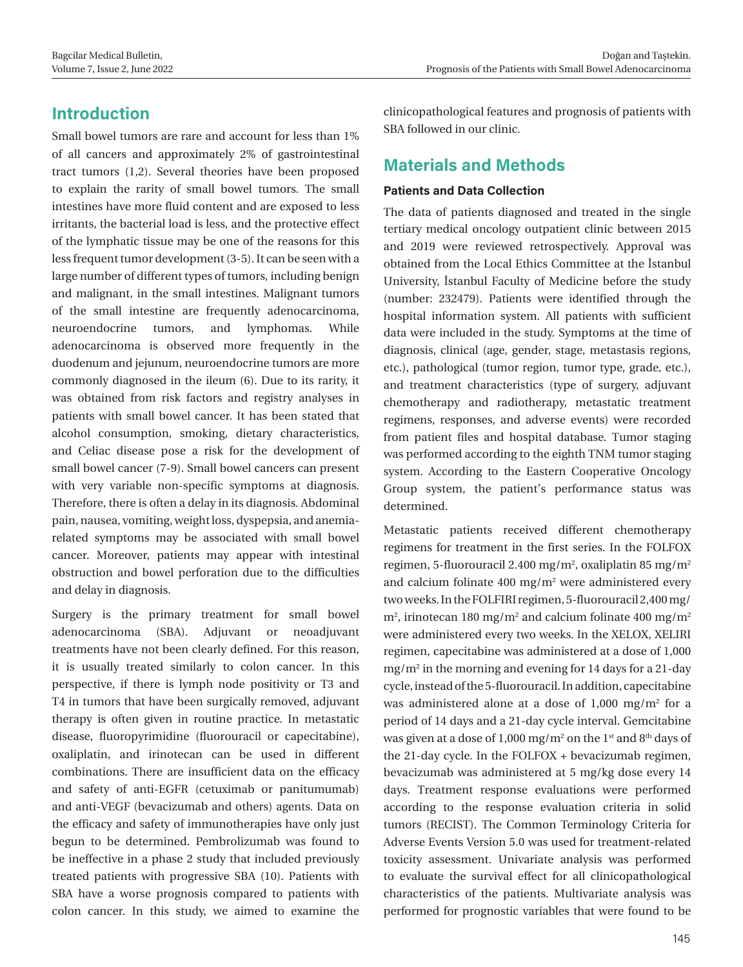# **Introduction**

Small bowel tumors are rare and account for less than 1% of all cancers and approximately 2% of gastrointestinal tract tumors (1,2). Several theories have been proposed to explain the rarity of small bowel tumors. The small intestines have more fluid content and are exposed to less irritants, the bacterial load is less, and the protective effect of the lymphatic tissue may be one of the reasons for this less frequent tumor development (3-5). It can be seen with a large number of different types of tumors, including benign and malignant, in the small intestines. Malignant tumors of the small intestine are frequently adenocarcinoma, neuroendocrine tumors, and lymphomas. While adenocarcinoma is observed more frequently in the duodenum and jejunum, neuroendocrine tumors are more commonly diagnosed in the ileum (6). Due to its rarity, it was obtained from risk factors and registry analyses in patients with small bowel cancer. It has been stated that alcohol consumption, smoking, dietary characteristics, and Celiac disease pose a risk for the development of small bowel cancer (7-9). Small bowel cancers can present with very variable non-specific symptoms at diagnosis. Therefore, there is often a delay in its diagnosis. Abdominal pain, nausea, vomiting, weight loss, dyspepsia, and anemiarelated symptoms may be associated with small bowel cancer. Moreover, patients may appear with intestinal obstruction and bowel perforation due to the difficulties and delay in diagnosis.

Surgery is the primary treatment for small bowel adenocarcinoma (SBA). Adjuvant or neoadjuvant treatments have not been clearly defined. For this reason, it is usually treated similarly to colon cancer. In this perspective, if there is lymph node positivity or T3 and T4 in tumors that have been surgically removed, adjuvant therapy is often given in routine practice. In metastatic disease, fluoropyrimidine (fluorouracil or capecitabine), oxaliplatin, and irinotecan can be used in different combinations. There are insufficient data on the efficacy and safety of anti-EGFR (cetuximab or panitumumab) and anti-VEGF (bevacizumab and others) agents. Data on the efficacy and safety of immunotherapies have only just begun to be determined. Pembrolizumab was found to be ineffective in a phase 2 study that included previously treated patients with progressive SBA (10). Patients with SBA have a worse prognosis compared to patients with colon cancer. In this study, we aimed to examine the clinicopathological features and prognosis of patients with SBA followed in our clinic.

# **Materials and Methods**

#### **Patients and Data Collection**

The data of patients diagnosed and treated in the single tertiary medical oncology outpatient clinic between 2015 and 2019 were reviewed retrospectively. Approval was obtained from the Local Ethics Committee at the İstanbul University, İstanbul Faculty of Medicine before the study (number: 232479). Patients were identified through the hospital information system. All patients with sufficient data were included in the study. Symptoms at the time of diagnosis, clinical (age, gender, stage, metastasis regions, etc.), pathological (tumor region, tumor type, grade, etc.), and treatment characteristics (type of surgery, adjuvant chemotherapy and radiotherapy, metastatic treatment regimens, responses, and adverse events) were recorded from patient files and hospital database. Tumor staging was performed according to the eighth TNM tumor staging system. According to the Eastern Cooperative Oncology Group system, the patient's performance status was determined.

Metastatic patients received different chemotherapy regimens for treatment in the first series. In the FOLFOX regimen, 5-fluorouracil 2.400 mg/m<sup>2</sup>, oxaliplatin 85 mg/m<sup>2</sup> and calcium folinate 400 mg/m<sup>2</sup> were administered every two weeks. In the FOLFIRI regimen, 5-fluorouracil 2,400 mg/  $m^2$ , irinotecan 180 mg/m<sup>2</sup> and calcium folinate 400 mg/m<sup>2</sup> were administered every two weeks. In the XELOX, XELIRI regimen, capecitabine was administered at a dose of 1,000 mg/m2 in the morning and evening for 14 days for a 21-day cycle, instead of the 5-fluorouracil. In addition, capecitabine was administered alone at a dose of  $1,000$  mg/m<sup>2</sup> for a period of 14 days and a 21-day cycle interval. Gemcitabine was given at a dose of 1,000 mg/m<sup>2</sup> on the 1<sup>st</sup> and 8<sup>th</sup> days of the 21-day cycle. In the FOLFOX + bevacizumab regimen, bevacizumab was administered at 5 mg/kg dose every 14 days. Treatment response evaluations were performed according to the response evaluation criteria in solid tumors (RECIST). The Common Terminology Criteria for Adverse Events Version 5.0 was used for treatment-related toxicity assessment. Univariate analysis was performed to evaluate the survival effect for all clinicopathological characteristics of the patients. Multivariate analysis was performed for prognostic variables that were found to be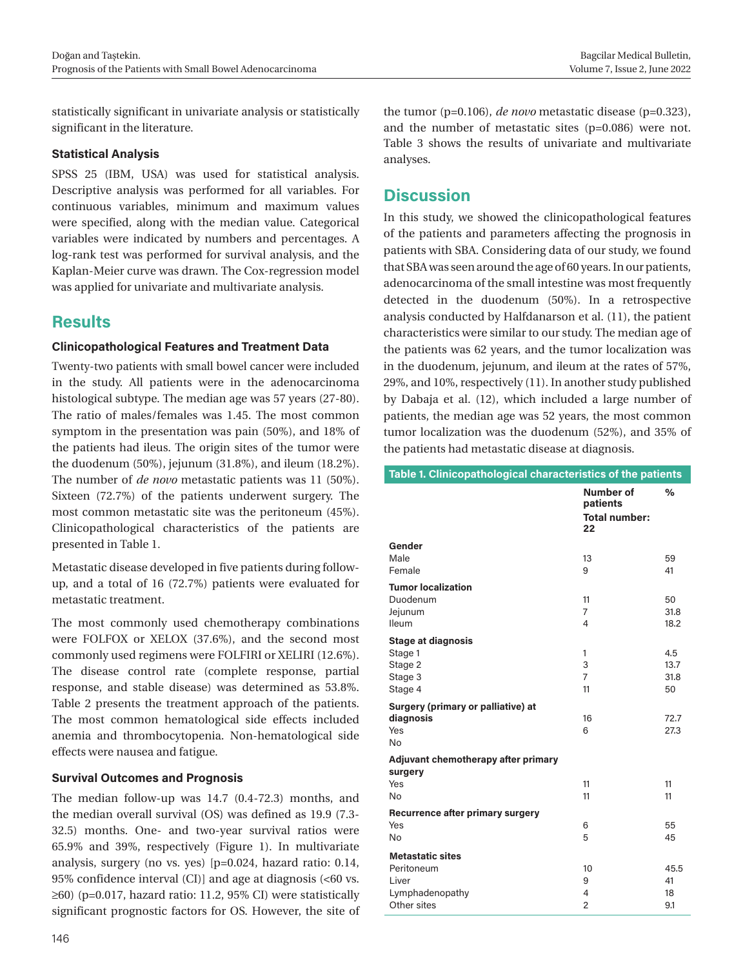statistically significant in univariate analysis or statistically significant in the literature.

#### **Statistical Analysis**

SPSS 25 (IBM, USA) was used for statistical analysis. Descriptive analysis was performed for all variables. For continuous variables, minimum and maximum values were specified, along with the median value. Categorical variables were indicated by numbers and percentages. A log-rank test was performed for survival analysis, and the Kaplan-Meier curve was drawn. The Cox-regression model was applied for univariate and multivariate analysis.

## **Results**

#### **Clinicopathological Features and Treatment Data**

Twenty-two patients with small bowel cancer were included in the study. All patients were in the adenocarcinoma histological subtype. The median age was 57 years (27-80). The ratio of males/females was 1.45. The most common symptom in the presentation was pain (50%), and 18% of the patients had ileus. The origin sites of the tumor were the duodenum (50%), jejunum (31.8%), and ileum (18.2%). The number of *de novo* metastatic patients was 11 (50%). Sixteen (72.7%) of the patients underwent surgery. The most common metastatic site was the peritoneum (45%). Clinicopathological characteristics of the patients are presented in Table 1.

Metastatic disease developed in five patients during followup, and a total of 16 (72.7%) patients were evaluated for metastatic treatment.

The most commonly used chemotherapy combinations were FOLFOX or XELOX (37.6%), and the second most commonly used regimens were FOLFIRI or XELIRI (12.6%). The disease control rate (complete response, partial response, and stable disease) was determined as 53.8%. Table 2 presents the treatment approach of the patients. The most common hematological side effects included anemia and thrombocytopenia. Non-hematological side effects were nausea and fatigue.

#### **Survival Outcomes and Prognosis**

The median follow-up was 14.7 (0.4-72.3) months, and the median overall survival (OS) was defined as 19.9 (7.3- 32.5) months. One- and two-year survival ratios were 65.9% and 39%, respectively (Figure 1). In multivariate analysis, surgery (no vs. yes) [p=0.024, hazard ratio: 0.14, 95% confidence interval (CI)] and age at diagnosis (<60 vs.  $\geq$ 60) (p=0.017, hazard ratio: 11.2, 95% CI) were statistically significant prognostic factors for OS. However, the site of the tumor (p=0.106), *de novo* metastatic disease (p=0.323), and the number of metastatic sites (p=0.086) were not. Table 3 shows the results of univariate and multivariate analyses.

# **Discussion**

In this study, we showed the clinicopathological features of the patients and parameters affecting the prognosis in patients with SBA. Considering data of our study, we found that SBA was seen around the age of 60 years. In our patients, adenocarcinoma of the small intestine was most frequently detected in the duodenum (50%). In a retrospective analysis conducted by Halfdanarson et al. (11), the patient characteristics were similar to our study. The median age of the patients was 62 years, and the tumor localization was in the duodenum, jejunum, and ileum at the rates of 57%, 29%, and 10%, respectively (11). In another study published by Dabaja et al. (12), which included a large number of patients, the median age was 52 years, the most common tumor localization was the duodenum (52%), and 35% of the patients had metastatic disease at diagnosis.

| Table 1. Clinicopathological characteristics of the patients |                                                            |            |  |  |
|--------------------------------------------------------------|------------------------------------------------------------|------------|--|--|
|                                                              | <b>Number of</b><br>patients<br><b>Total number:</b><br>22 | ℅          |  |  |
| Gender                                                       |                                                            |            |  |  |
| Male                                                         | 13                                                         | 59         |  |  |
| Female                                                       | 9                                                          | 41         |  |  |
| <b>Tumor localization</b>                                    |                                                            |            |  |  |
| Duodenum                                                     | 11                                                         | 50         |  |  |
| Jejunum                                                      | $\overline{7}$                                             | 31.8       |  |  |
| Ileum                                                        | 4                                                          | 18.2       |  |  |
| <b>Stage at diagnosis</b>                                    |                                                            |            |  |  |
| Stage 1                                                      | $\mathbf{1}$                                               | 4.5        |  |  |
| Stage 2                                                      | 3                                                          | 13.7       |  |  |
| Stage 3                                                      | $\overline{7}$                                             | 31.8       |  |  |
| Stage 4                                                      | 11                                                         | 50         |  |  |
| Surgery (primary or palliative) at                           |                                                            |            |  |  |
| diagnosis                                                    | 16                                                         | 72.7       |  |  |
| Yes                                                          | 6                                                          | 27.3       |  |  |
| <b>No</b>                                                    |                                                            |            |  |  |
| Adjuvant chemotherapy after primary                          |                                                            |            |  |  |
| surgery<br>Yes                                               | 11                                                         | 11         |  |  |
| <b>No</b>                                                    | 11                                                         | 11         |  |  |
|                                                              |                                                            |            |  |  |
| Recurrence after primary surgery<br>Yes                      | 6                                                          | 55         |  |  |
| <b>No</b>                                                    | 5                                                          | 45         |  |  |
|                                                              |                                                            |            |  |  |
| <b>Metastatic sites</b>                                      |                                                            |            |  |  |
| Peritoneum<br>Liver                                          | 10<br>9                                                    | 45.5<br>41 |  |  |
| Lymphadenopathy                                              | 4                                                          | 18         |  |  |
| Other sites                                                  | $\overline{c}$                                             | 9.1        |  |  |
|                                                              |                                                            |            |  |  |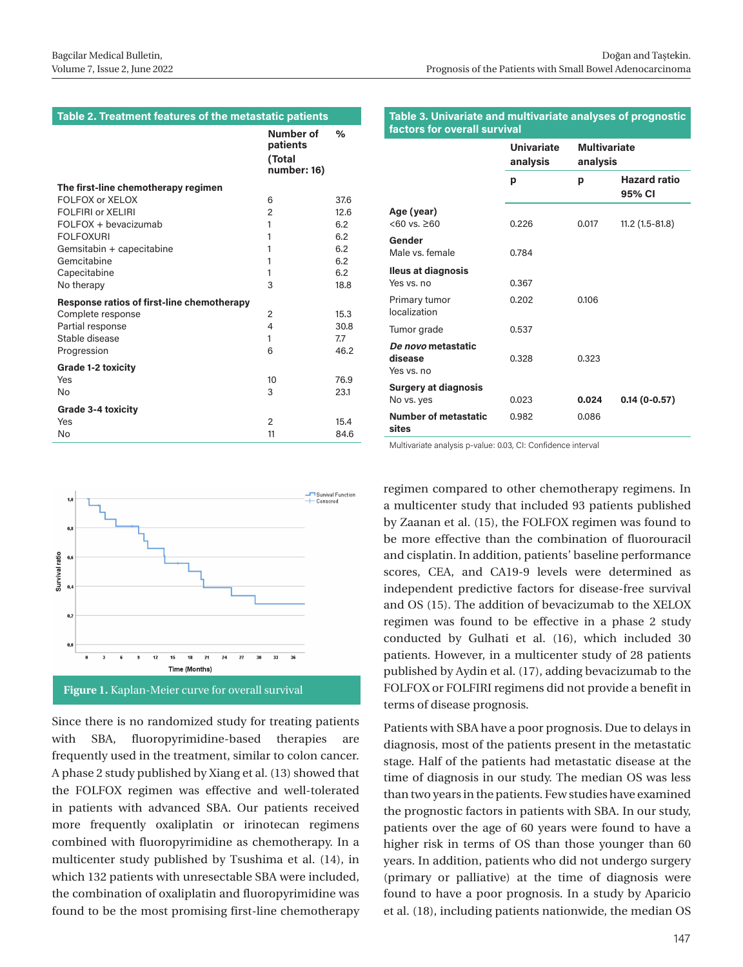#### **Table 2. Treatment features of the metastatic patients**

|                                            | Number of<br>patients<br>(Total<br>number: 16) | %    |
|--------------------------------------------|------------------------------------------------|------|
| The first-line chemotherapy regimen        |                                                |      |
| FOI FOX or XFLOX                           | 6                                              | 37.6 |
| <b>FOLFIRI or XELIRI</b>                   | $\overline{2}$                                 | 12.6 |
| FOLFOX + bevacizumab                       | 1                                              | 6.2  |
| <b>FOLFOXURI</b>                           | 1                                              | 6.2  |
| Gemsitabin + capecitabine                  | 1                                              | 6.2  |
| Gemcitabine                                | 1                                              | 6.2  |
| Capecitabine                               | 1                                              | 6.2  |
| No therapy                                 | 3                                              | 18.8 |
| Response ratios of first-line chemotherapy |                                                |      |
| Complete response                          | 2                                              | 15.3 |
| Partial response                           | 4                                              | 30.8 |
| Stable disease                             | 1                                              | 7.7  |
| Progression                                | 6                                              | 46.2 |
| <b>Grade 1-2 toxicity</b>                  |                                                |      |
| Yes                                        | 10                                             | 76.9 |
| No                                         | 3                                              | 23.1 |
| <b>Grade 3-4 toxicity</b>                  |                                                |      |
| Yes                                        | $\overline{2}$                                 | 15.4 |
| No                                         | 11                                             | 84.6 |



**Figure 1.** Kaplan-Meier curve for overall survival

Since there is no randomized study for treating patients with SBA, fluoropyrimidine-based therapies are frequently used in the treatment, similar to colon cancer. A phase 2 study published by Xiang et al. (13) showed that the FOLFOX regimen was effective and well-tolerated in patients with advanced SBA. Our patients received more frequently oxaliplatin or irinotecan regimens combined with fluoropyrimidine as chemotherapy. In a multicenter study published by Tsushima et al. (14), in which 132 patients with unresectable SBA were included, the combination of oxaliplatin and fluoropyrimidine was found to be the most promising first-line chemotherapy

#### **Table 3. Univariate and multivariate analyses of prognostic factors for overall survival**

| <u>idului situ vyyitii sui vivai</u>        |                               |                                 |                               |
|---------------------------------------------|-------------------------------|---------------------------------|-------------------------------|
|                                             | <b>Univariate</b><br>analysis | <b>Multivariate</b><br>analysis |                               |
|                                             | р                             | p                               | <b>Hazard ratio</b><br>95% CI |
| Age (year)<br>$<60$ vs. $>60$               | 0.226                         | 0.017                           | $11.2(1.5-81.8)$              |
| Gender<br>Male vs. female                   | 0.784                         |                                 |                               |
| <b>Ileus at diagnosis</b><br>Yes vs. no     | 0.367                         |                                 |                               |
| Primary tumor<br>localization               | 0.202                         | 0.106                           |                               |
| Tumor grade                                 | 0.537                         |                                 |                               |
| De novo metastatic<br>disease<br>Yes vs. no | 0.328                         | 0.323                           |                               |
| <b>Surgery at diagnosis</b><br>No vs. yes   | 0.023                         | 0,024                           | $0.14(0-0.57)$                |
| <b>Number of metastatic</b><br>sites        | 0.982                         | 0.086                           |                               |

Multivariate analysis p-value: 0.03, CI: Confidence interval

regimen compared to other chemotherapy regimens. In a multicenter study that included 93 patients published by Zaanan et al. (15), the FOLFOX regimen was found to be more effective than the combination of fluorouracil and cisplatin. In addition, patients' baseline performance scores, CEA, and CA19-9 levels were determined as independent predictive factors for disease-free survival and OS (15). The addition of bevacizumab to the XELOX regimen was found to be effective in a phase 2 study conducted by Gulhati et al. (16), which included 30 patients. However, in a multicenter study of 28 patients published by Aydin et al. (17), adding bevacizumab to the FOLFOX or FOLFIRI regimens did not provide a benefit in terms of disease prognosis.

Patients with SBA have a poor prognosis. Due to delays in diagnosis, most of the patients present in the metastatic stage. Half of the patients had metastatic disease at the time of diagnosis in our study. The median OS was less than two years in the patients. Few studies have examined the prognostic factors in patients with SBA. In our study, patients over the age of 60 years were found to have a higher risk in terms of OS than those younger than 60 years. In addition, patients who did not undergo surgery (primary or palliative) at the time of diagnosis were found to have a poor prognosis. In a study by Aparicio et al. (18), including patients nationwide, the median OS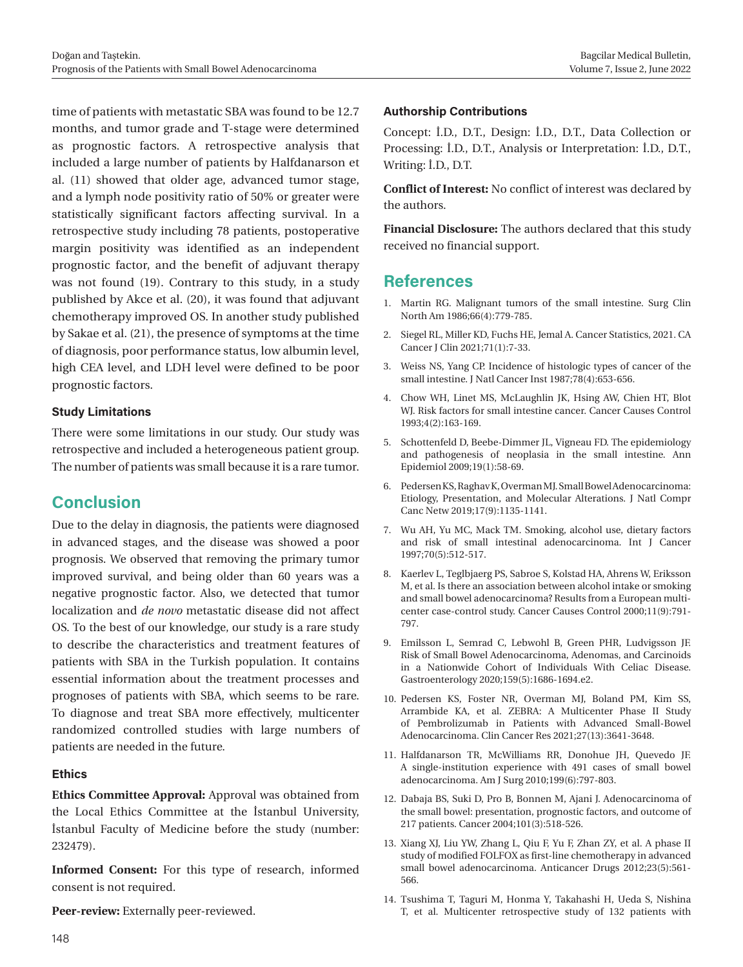time of patients with metastatic SBA was found to be 12.7 months, and tumor grade and T-stage were determined as prognostic factors. A retrospective analysis that included a large number of patients by Halfdanarson et al. (11) showed that older age, advanced tumor stage, and a lymph node positivity ratio of 50% or greater were statistically significant factors affecting survival. In a retrospective study including 78 patients, postoperative margin positivity was identified as an independent prognostic factor, and the benefit of adjuvant therapy was not found (19). Contrary to this study, in a study published by Akce et al. (20), it was found that adjuvant chemotherapy improved OS. In another study published by Sakae et al. (21), the presence of symptoms at the time of diagnosis, poor performance status, low albumin level, high CEA level, and LDH level were defined to be poor prognostic factors.

#### **Study Limitations**

There were some limitations in our study. Our study was retrospective and included a heterogeneous patient group. The number of patients was small because it is a rare tumor.

# **Conclusion**

Due to the delay in diagnosis, the patients were diagnosed in advanced stages, and the disease was showed a poor prognosis. We observed that removing the primary tumor improved survival, and being older than 60 years was a negative prognostic factor. Also, we detected that tumor localization and *de novo* metastatic disease did not affect OS. To the best of our knowledge, our study is a rare study to describe the characteristics and treatment features of patients with SBA in the Turkish population. It contains essential information about the treatment processes and prognoses of patients with SBA, which seems to be rare. To diagnose and treat SBA more effectively, multicenter randomized controlled studies with large numbers of patients are needed in the future.

#### **Ethics**

**Ethics Committee Approval:** Approval was obtained from the Local Ethics Committee at the İstanbul University, İstanbul Faculty of Medicine before the study (number: 232479).

**Informed Consent:** For this type of research, informed consent is not required.

**Peer-review:** Externally peer-reviewed.

#### **Authorship Contributions**

Concept: İ.D., D.T., Design: İ.D., D.T., Data Collection or Processing: İ.D., D.T., Analysis or Interpretation: İ.D., D.T., Writing: İ.D., D.T.

**Conflict of Interest:** No conflict of interest was declared by the authors.

**Financial Disclosure:** The authors declared that this study received no financial support.

# **References**

- 1. Martin RG. Malignant tumors of the small intestine. Surg Clin North Am 1986;66(4):779-785.
- 2. Siegel RL, Miller KD, Fuchs HE, Jemal A. Cancer Statistics, 2021. CA Cancer J Clin 2021;71(1):7-33.
- 3. Weiss NS, Yang CP. Incidence of histologic types of cancer of the small intestine. J Natl Cancer Inst 1987;78(4):653-656.
- 4. Chow WH, Linet MS, McLaughlin JK, Hsing AW, Chien HT, Blot WJ. Risk factors for small intestine cancer. Cancer Causes Control 1993;4(2):163-169.
- 5. Schottenfeld D, Beebe-Dimmer JL, Vigneau FD. The epidemiology and pathogenesis of neoplasia in the small intestine. Ann Epidemiol 2009;19(1):58-69.
- 6. Pedersen KS, Raghav K, Overman MJ. Small Bowel Adenocarcinoma: Etiology, Presentation, and Molecular Alterations. J Natl Compr Canc Netw 2019;17(9):1135-1141.
- 7. Wu AH, Yu MC, Mack TM. Smoking, alcohol use, dietary factors and risk of small intestinal adenocarcinoma. Int J Cancer 1997;70(5):512-517.
- 8. Kaerlev L, Teglbjaerg PS, Sabroe S, Kolstad HA, Ahrens W, Eriksson M, et al. Is there an association between alcohol intake or smoking and small bowel adenocarcinoma? Results from a European multicenter case-control study. Cancer Causes Control 2000;11(9):791- 797.
- 9. Emilsson L, Semrad C, Lebwohl B, Green PHR, Ludvigsson JF. Risk of Small Bowel Adenocarcinoma, Adenomas, and Carcinoids in a Nationwide Cohort of Individuals With Celiac Disease. Gastroenterology 2020;159(5):1686-1694.e2.
- 10. Pedersen KS, Foster NR, Overman MJ, Boland PM, Kim SS, Arrambide KA, et al. ZEBRA: A Multicenter Phase II Study of Pembrolizumab in Patients with Advanced Small-Bowel Adenocarcinoma. Clin Cancer Res 2021;27(13):3641-3648.
- 11. Halfdanarson TR, McWilliams RR, Donohue JH, Quevedo JF. A single-institution experience with 491 cases of small bowel adenocarcinoma. Am J Surg 2010;199(6):797-803.
- 12. Dabaja BS, Suki D, Pro B, Bonnen M, Ajani J. Adenocarcinoma of the small bowel: presentation, prognostic factors, and outcome of 217 patients. Cancer 2004;101(3):518-526.
- 13. Xiang XJ, Liu YW, Zhang L, Qiu F, Yu F, Zhan ZY, et al. A phase II study of modified FOLFOX as first-line chemotherapy in advanced small bowel adenocarcinoma. Anticancer Drugs 2012;23(5):561- 566.
- 14. Tsushima T, Taguri M, Honma Y, Takahashi H, Ueda S, Nishina T, et al. Multicenter retrospective study of 132 patients with